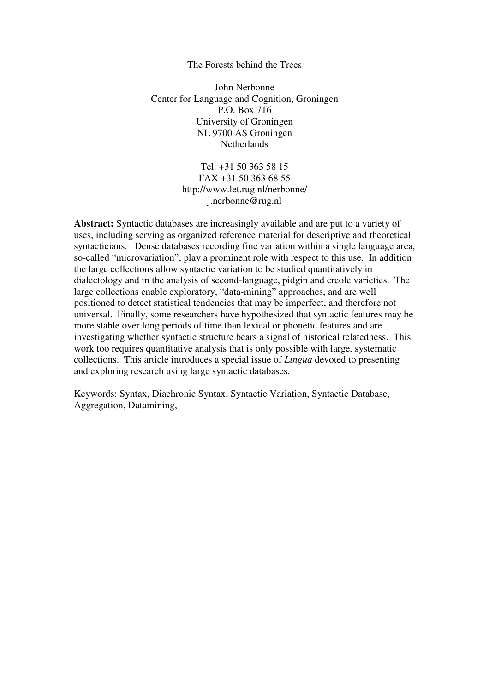#### The Forests behind the Trees

John Nerbonne Center for Language and Cognition, Groningen P.O. Box 716 University of Groningen NL 9700 AS Groningen **Netherlands** 

> Tel. +31 50 363 58 15 FAX +31 50 363 68 55 http://www.let.rug.nl/nerbonne/ j.nerbonne@rug.nl

**Abstract:** Syntactic databases are increasingly available and are put to a variety of uses, including serving as organized reference material for descriptive and theoretical syntacticians. Dense databases recording fine variation within a single language area, so-called "microvariation", play a prominent role with respect to this use. In addition the large collections allow syntactic variation to be studied quantitatively in dialectology and in the analysis of second-language, pidgin and creole varieties. The large collections enable exploratory, "data-mining" approaches, and are well positioned to detect statistical tendencies that may be imperfect, and therefore not universal. Finally, some researchers have hypothesized that syntactic features may be more stable over long periods of time than lexical or phonetic features and are investigating whether syntactic structure bears a signal of historical relatedness. This work too requires quantitative analysis that is only possible with large, systematic collections. This article introduces a special issue of *Lingua* devoted to presenting and exploring research using large syntactic databases.

Keywords: Syntax, Diachronic Syntax, Syntactic Variation, Syntactic Database, Aggregation, Datamining,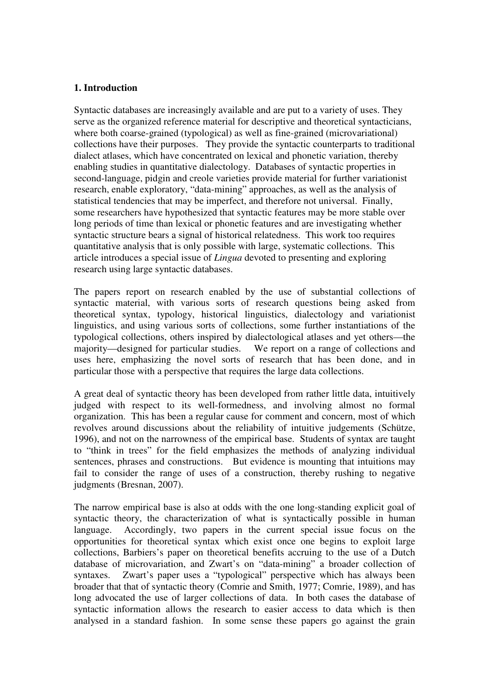#### **1. Introduction**

Syntactic databases are increasingly available and are put to a variety of uses. They serve as the organized reference material for descriptive and theoretical syntacticians, where both coarse-grained (typological) as well as fine-grained (microvariational) collections have their purposes. They provide the syntactic counterparts to traditional dialect atlases, which have concentrated on lexical and phonetic variation, thereby enabling studies in quantitative dialectology. Databases of syntactic properties in second-language, pidgin and creole varieties provide material for further variationist research, enable exploratory, "data-mining" approaches, as well as the analysis of statistical tendencies that may be imperfect, and therefore not universal. Finally, some researchers have hypothesized that syntactic features may be more stable over long periods of time than lexical or phonetic features and are investigating whether syntactic structure bears a signal of historical relatedness. This work too requires quantitative analysis that is only possible with large, systematic collections. This article introduces a special issue of *Lingua* devoted to presenting and exploring research using large syntactic databases.

The papers report on research enabled by the use of substantial collections of syntactic material, with various sorts of research questions being asked from theoretical syntax, typology, historical linguistics, dialectology and variationist linguistics, and using various sorts of collections, some further instantiations of the typological collections, others inspired by dialectological atlases and yet others—the majority—designed for particular studies. We report on a range of collections and uses here, emphasizing the novel sorts of research that has been done, and in particular those with a perspective that requires the large data collections.

A great deal of syntactic theory has been developed from rather little data, intuitively judged with respect to its well-formedness, and involving almost no formal organization. This has been a regular cause for comment and concern, most of which revolves around discussions about the reliability of intuitive judgements (Schütze, 1996), and not on the narrowness of the empirical base. Students of syntax are taught to "think in trees" for the field emphasizes the methods of analyzing individual sentences, phrases and constructions. But evidence is mounting that intuitions may fail to consider the range of uses of a construction, thereby rushing to negative judgments (Bresnan, 2007).

The narrow empirical base is also at odds with the one long-standing explicit goal of syntactic theory, the characterization of what is syntactically possible in human language. Accordingly, two papers in the current special issue focus on the opportunities for theoretical syntax which exist once one begins to exploit large collections, Barbiers's paper on theoretical benefits accruing to the use of a Dutch database of microvariation, and Zwart's on "data-mining" a broader collection of syntaxes. Zwart's paper uses a "typological" perspective which has always been broader that that of syntactic theory (Comrie and Smith, 1977; Comrie, 1989), and has long advocated the use of larger collections of data. In both cases the database of syntactic information allows the research to easier access to data which is then analysed in a standard fashion. In some sense these papers go against the grain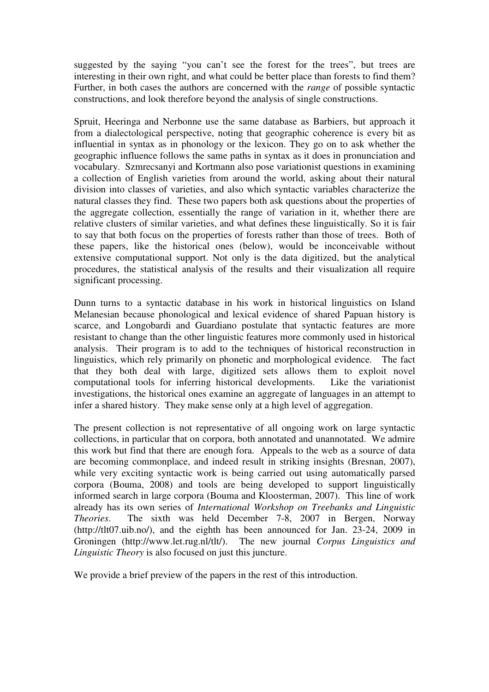suggested by the saying "you can't see the forest for the trees", but trees are interesting in their own right, and what could be better place than forests to find them? Further, in both cases the authors are concerned with the *range* of possible syntactic constructions, and look therefore beyond the analysis of single constructions.

Spruit, Heeringa and Nerbonne use the same database as Barbiers, but approach it from a dialectological perspective, noting that geographic coherence is every bit as influential in syntax as in phonology or the lexicon. They go on to ask whether the geographic influence follows the same paths in syntax as it does in pronunciation and vocabulary. Szmrecsanyi and Kortmann also pose variationist questions in examining a collection of English varieties from around the world, asking about their natural division into classes of varieties, and also which syntactic variables characterize the natural classes they find. These two papers both ask questions about the properties of the aggregate collection, essentially the range of variation in it, whether there are relative clusters of similar varieties, and what defines these linguistically. So it is fair to say that both focus on the properties of forests rather than those of trees. Both of these papers, like the historical ones (below), would be inconceivable without extensive computational support. Not only is the data digitized, but the analytical procedures, the statistical analysis of the results and their visualization all require significant processing.

Dunn turns to a syntactic database in his work in historical linguistics on Island Melanesian because phonological and lexical evidence of shared Papuan history is scarce, and Longobardi and Guardiano postulate that syntactic features are more resistant to change than the other linguistic features more commonly used in historical analysis. Their program is to add to the techniques of historical reconstruction in linguistics, which rely primarily on phonetic and morphological evidence. The fact that they both deal with large, digitized sets allows them to exploit novel computational tools for inferring historical developments. Like the variationist investigations, the historical ones examine an aggregate of languages in an attempt to infer a shared history. They make sense only at a high level of aggregation.

The present collection is not representative of all ongoing work on large syntactic collections, in particular that on corpora, both annotated and unannotated. We admire this work but find that there are enough fora. Appeals to the web as a source of data are becoming commonplace, and indeed result in striking insights (Bresnan, 2007), while very exciting syntactic work is being carried out using automatically parsed corpora (Bouma, 2008) and tools are being developed to support linguistically informed search in large corpora (Bouma and Kloosterman, 2007). This line of work already has its own series of *International Workshop on Treebanks and Linguistic Theories*. The sixth was held December 7-8, 2007 in Bergen, Norway (http://tlt07.uib.no/), and the eighth has been announced for Jan. 23-24, 2009 in Groningen (http://www.let.rug.nl/tlt/). The new journal *Corpus Linguistics and Linguistic Theory* is also focused on just this juncture.

We provide a brief preview of the papers in the rest of this introduction.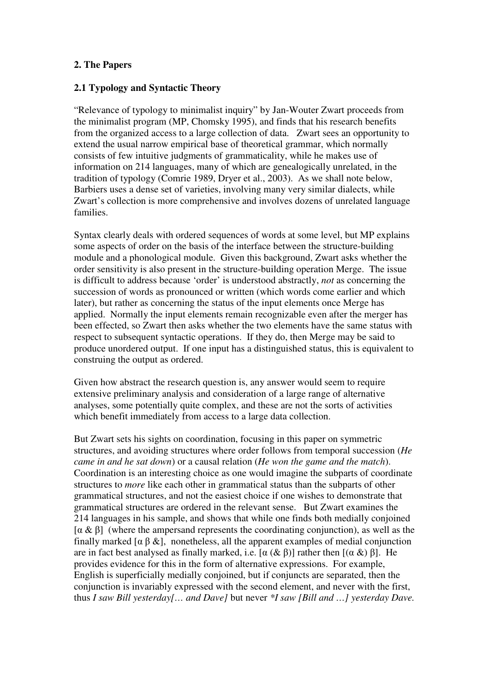# **2. The Papers**

#### **2.1 Typology and Syntactic Theory**

"Relevance of typology to minimalist inquiry" by Jan-Wouter Zwart proceeds from the minimalist program (MP, Chomsky 1995), and finds that his research benefits from the organized access to a large collection of data. Zwart sees an opportunity to extend the usual narrow empirical base of theoretical grammar, which normally consists of few intuitive judgments of grammaticality, while he makes use of information on 214 languages, many of which are genealogically unrelated, in the tradition of typology (Comrie 1989, Dryer et al., 2003). As we shall note below, Barbiers uses a dense set of varieties, involving many very similar dialects, while Zwart's collection is more comprehensive and involves dozens of unrelated language families.

Syntax clearly deals with ordered sequences of words at some level, but MP explains some aspects of order on the basis of the interface between the structure-building module and a phonological module. Given this background, Zwart asks whether the order sensitivity is also present in the structure-building operation Merge. The issue is difficult to address because 'order' is understood abstractly, *not* as concerning the succession of words as pronounced or written (which words come earlier and which later), but rather as concerning the status of the input elements once Merge has applied. Normally the input elements remain recognizable even after the merger has been effected, so Zwart then asks whether the two elements have the same status with respect to subsequent syntactic operations. If they do, then Merge may be said to produce unordered output. If one input has a distinguished status, this is equivalent to construing the output as ordered.

Given how abstract the research question is, any answer would seem to require extensive preliminary analysis and consideration of a large range of alternative analyses, some potentially quite complex, and these are not the sorts of activities which benefit immediately from access to a large data collection.

But Zwart sets his sights on coordination, focusing in this paper on symmetric structures, and avoiding structures where order follows from temporal succession (*He came in and he sat down*) or a causal relation (*He won the game and the match*). Coordination is an interesting choice as one would imagine the subparts of coordinate structures to *more* like each other in grammatical status than the subparts of other grammatical structures, and not the easiest choice if one wishes to demonstrate that grammatical structures are ordered in the relevant sense. But Zwart examines the 214 languages in his sample, and shows that while one finds both medially conjoined [ $\alpha \& \beta$ ] (where the ampersand represents the coordinating conjunction), as well as the finally marked [ $\alpha \beta \&$ ], nonetheless, all the apparent examples of medial conjunction are in fact best analysed as finally marked, i.e. [ $\alpha$  (&  $\beta$ )] rather then [ $(\alpha \&) \beta$ ]. He provides evidence for this in the form of alternative expressions. For example, English is superficially medially conjoined, but if conjuncts are separated, then the conjunction is invariably expressed with the second element, and never with the first, thus *I saw Bill yesterday[… and Dave]* but never *\*I saw [Bill and …] yesterday Dave.*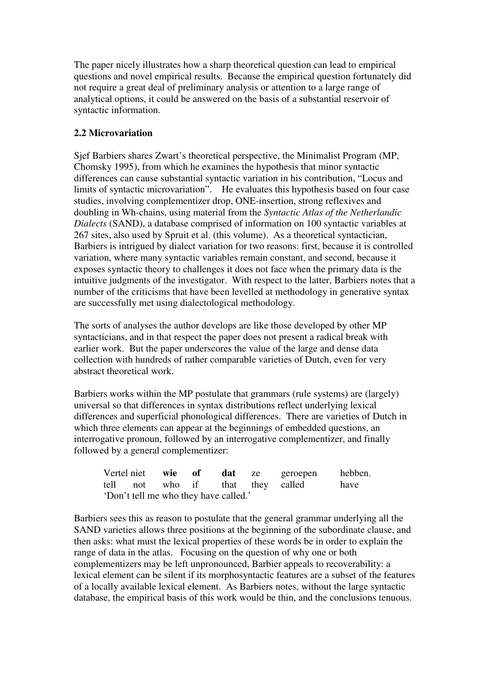The paper nicely illustrates how a sharp theoretical question can lead to empirical questions and novel empirical results. Because the empirical question fortunately did not require a great deal of preliminary analysis or attention to a large range of analytical options, it could be answered on the basis of a substantial reservoir of syntactic information.

# **2.2 Microvariation**

Sjef Barbiers shares Zwart's theoretical perspective, the Minimalist Program (MP, Chomsky 1995), from which he examines the hypothesis that minor syntactic differences can cause substantial syntactic variation in his contribution, "Locus and limits of syntactic microvariation". He evaluates this hypothesis based on four case studies, involving complementizer drop, ONE-insertion, strong reflexives and doubling in Wh-chains, using material from the *Syntactic Atlas of the Netherlandic Dialects* (SAND), a database comprised of information on 100 syntactic variables at 267 sites, also used by Spruit et al. (this volume). As a theoretical syntactician, Barbiers is intrigued by dialect variation for two reasons: first, because it is controlled variation, where many syntactic variables remain constant, and second, because it exposes syntactic theory to challenges it does not face when the primary data is the intuitive judgments of the investigator. With respect to the latter, Barbiers notes that a number of the criticisms that have been levelled at methodology in generative syntax are successfully met using dialectological methodology.

The sorts of analyses the author develops are like those developed by other MP syntacticians, and in that respect the paper does not present a radical break with earlier work. But the paper underscores the value of the large and dense data collection with hundreds of rather comparable varieties of Dutch, even for very abstract theoretical work.

Barbiers works within the MP postulate that grammars (rule systems) are (largely) universal so that differences in syntax distributions reflect underlying lexical differences and superficial phonological differences. There are varieties of Dutch in which three elements can appear at the beginnings of embedded questions, an interrogative pronoun, followed by an interrogative complementizer, and finally followed by a general complementizer:

|                                       |  |  |  |  |  | Vertel niet <b>wie of dat</b> ze geroepen hebben. |      |
|---------------------------------------|--|--|--|--|--|---------------------------------------------------|------|
|                                       |  |  |  |  |  | tell not who if that they called                  | have |
| 'Don't tell me who they have called.' |  |  |  |  |  |                                                   |      |

Barbiers sees this as reason to postulate that the general grammar underlying all the SAND varieties allows three positions at the beginning of the subordinate clause, and then asks: what must the lexical properties of these words be in order to explain the range of data in the atlas. Focusing on the question of why one or both complementizers may be left unpronounced, Barbier appeals to recoverability: a lexical element can be silent if its morphosyntactic features are a subset of the features of a locally available lexical element. As Barbiers notes, without the large syntactic database, the empirical basis of this work would be thin, and the conclusions tenuous.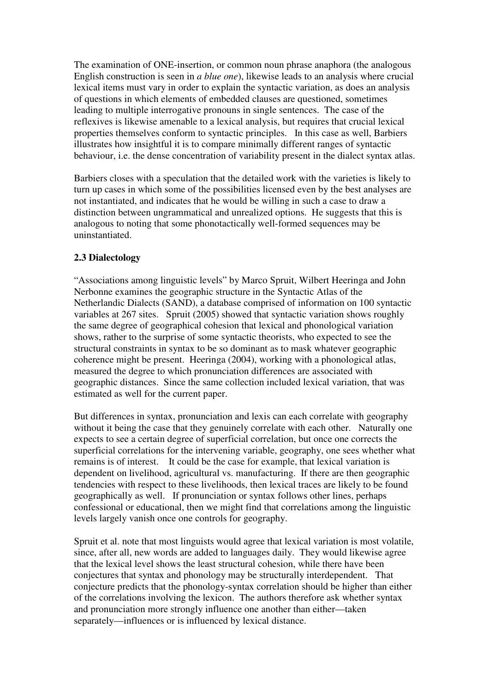The examination of ONE-insertion, or common noun phrase anaphora (the analogous English construction is seen in *a blue one*), likewise leads to an analysis where crucial lexical items must vary in order to explain the syntactic variation, as does an analysis of questions in which elements of embedded clauses are questioned, sometimes leading to multiple interrogative pronouns in single sentences. The case of the reflexives is likewise amenable to a lexical analysis, but requires that crucial lexical properties themselves conform to syntactic principles. In this case as well, Barbiers illustrates how insightful it is to compare minimally different ranges of syntactic behaviour, i.e. the dense concentration of variability present in the dialect syntax atlas.

Barbiers closes with a speculation that the detailed work with the varieties is likely to turn up cases in which some of the possibilities licensed even by the best analyses are not instantiated, and indicates that he would be willing in such a case to draw a distinction between ungrammatical and unrealized options. He suggests that this is analogous to noting that some phonotactically well-formed sequences may be uninstantiated.

# **2.3 Dialectology**

"Associations among linguistic levels" by Marco Spruit, Wilbert Heeringa and John Nerbonne examines the geographic structure in the Syntactic Atlas of the Netherlandic Dialects (SAND), a database comprised of information on 100 syntactic variables at 267 sites. Spruit (2005) showed that syntactic variation shows roughly the same degree of geographical cohesion that lexical and phonological variation shows, rather to the surprise of some syntactic theorists, who expected to see the structural constraints in syntax to be so dominant as to mask whatever geographic coherence might be present. Heeringa (2004), working with a phonological atlas, measured the degree to which pronunciation differences are associated with geographic distances. Since the same collection included lexical variation, that was estimated as well for the current paper.

But differences in syntax, pronunciation and lexis can each correlate with geography without it being the case that they genuinely correlate with each other. Naturally one expects to see a certain degree of superficial correlation, but once one corrects the superficial correlations for the intervening variable, geography, one sees whether what remains is of interest. It could be the case for example, that lexical variation is dependent on livelihood, agricultural vs. manufacturing. If there are then geographic tendencies with respect to these livelihoods, then lexical traces are likely to be found geographically as well. If pronunciation or syntax follows other lines, perhaps confessional or educational, then we might find that correlations among the linguistic levels largely vanish once one controls for geography.

Spruit et al. note that most linguists would agree that lexical variation is most volatile, since, after all, new words are added to languages daily. They would likewise agree that the lexical level shows the least structural cohesion, while there have been conjectures that syntax and phonology may be structurally interdependent. That conjecture predicts that the phonology-syntax correlation should be higher than either of the correlations involving the lexicon. The authors therefore ask whether syntax and pronunciation more strongly influence one another than either—taken separately—influences or is influenced by lexical distance.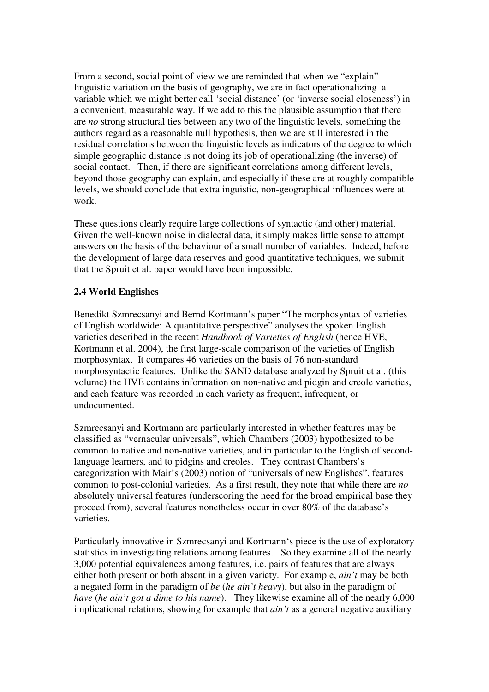From a second, social point of view we are reminded that when we "explain" linguistic variation on the basis of geography, we are in fact operationalizing a variable which we might better call 'social distance' (or 'inverse social closeness') in a convenient, measurable way. If we add to this the plausible assumption that there are *no* strong structural ties between any two of the linguistic levels, something the authors regard as a reasonable null hypothesis, then we are still interested in the residual correlations between the linguistic levels as indicators of the degree to which simple geographic distance is not doing its job of operationalizing (the inverse) of social contact. Then, if there are significant correlations among different levels, beyond those geography can explain, and especially if these are at roughly compatible levels, we should conclude that extralinguistic, non-geographical influences were at work.

These questions clearly require large collections of syntactic (and other) material. Given the well-known noise in dialectal data, it simply makes little sense to attempt answers on the basis of the behaviour of a small number of variables. Indeed, before the development of large data reserves and good quantitative techniques, we submit that the Spruit et al. paper would have been impossible.

# **2.4 World Englishes**

Benedikt Szmrecsanyi and Bernd Kortmann's paper "The morphosyntax of varieties of English worldwide: A quantitative perspective" analyses the spoken English varieties described in the recent *Handbook of Varieties of English* (hence HVE, Kortmann et al. 2004), the first large-scale comparison of the varieties of English morphosyntax. It compares 46 varieties on the basis of 76 non-standard morphosyntactic features. Unlike the SAND database analyzed by Spruit et al. (this volume) the HVE contains information on non-native and pidgin and creole varieties, and each feature was recorded in each variety as frequent, infrequent, or undocumented.

Szmrecsanyi and Kortmann are particularly interested in whether features may be classified as "vernacular universals", which Chambers (2003) hypothesized to be common to native and non-native varieties, and in particular to the English of secondlanguage learners, and to pidgins and creoles. They contrast Chambers's categorization with Mair's (2003) notion of "universals of new Englishes", features common to post-colonial varieties. As a first result, they note that while there are *no* absolutely universal features (underscoring the need for the broad empirical base they proceed from), several features nonetheless occur in over 80% of the database's varieties.

Particularly innovative in Szmrecsanyi and Kortmann's piece is the use of exploratory statistics in investigating relations among features. So they examine all of the nearly 3,000 potential equivalences among features, i.e. pairs of features that are always either both present or both absent in a given variety. For example, *ain't* may be both a negated form in the paradigm of *be* (*he ain't heavy*), but also in the paradigm of *have* (*he ain't got a dime to his name*). They likewise examine all of the nearly 6,000 implicational relations, showing for example that *ain't* as a general negative auxiliary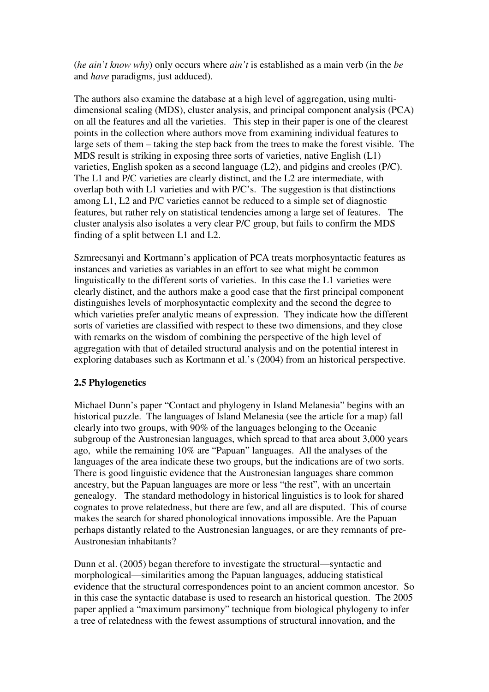(*he ain't know why*) only occurs where *ain't* is established as a main verb (in the *be* and *have* paradigms, just adduced).

The authors also examine the database at a high level of aggregation, using multidimensional scaling (MDS), cluster analysis, and principal component analysis (PCA) on all the features and all the varieties. This step in their paper is one of the clearest points in the collection where authors move from examining individual features to large sets of them – taking the step back from the trees to make the forest visible. The MDS result is striking in exposing three sorts of varieties, native English (L1) varieties, English spoken as a second language (L2), and pidgins and creoles (P/C). The L1 and P/C varieties are clearly distinct, and the L2 are intermediate, with overlap both with L1 varieties and with P/C's. The suggestion is that distinctions among L1, L2 and P/C varieties cannot be reduced to a simple set of diagnostic features, but rather rely on statistical tendencies among a large set of features. The cluster analysis also isolates a very clear P/C group, but fails to confirm the MDS finding of a split between L1 and L2.

Szmrecsanyi and Kortmann's application of PCA treats morphosyntactic features as instances and varieties as variables in an effort to see what might be common linguistically to the different sorts of varieties. In this case the L1 varieties were clearly distinct, and the authors make a good case that the first principal component distinguishes levels of morphosyntactic complexity and the second the degree to which varieties prefer analytic means of expression. They indicate how the different sorts of varieties are classified with respect to these two dimensions, and they close with remarks on the wisdom of combining the perspective of the high level of aggregation with that of detailed structural analysis and on the potential interest in exploring databases such as Kortmann et al.'s (2004) from an historical perspective.

# **2.5 Phylogenetics**

Michael Dunn's paper "Contact and phylogeny in Island Melanesia" begins with an historical puzzle. The languages of Island Melanesia (see the article for a map) fall clearly into two groups, with 90% of the languages belonging to the Oceanic subgroup of the Austronesian languages, which spread to that area about 3,000 years ago, while the remaining 10% are "Papuan" languages. All the analyses of the languages of the area indicate these two groups, but the indications are of two sorts. There is good linguistic evidence that the Austronesian languages share common ancestry, but the Papuan languages are more or less "the rest", with an uncertain genealogy. The standard methodology in historical linguistics is to look for shared cognates to prove relatedness, but there are few, and all are disputed. This of course makes the search for shared phonological innovations impossible. Are the Papuan perhaps distantly related to the Austronesian languages, or are they remnants of pre-Austronesian inhabitants?

Dunn et al. (2005) began therefore to investigate the structural—syntactic and morphological—similarities among the Papuan languages, adducing statistical evidence that the structural correspondences point to an ancient common ancestor. So in this case the syntactic database is used to research an historical question. The 2005 paper applied a "maximum parsimony" technique from biological phylogeny to infer a tree of relatedness with the fewest assumptions of structural innovation, and the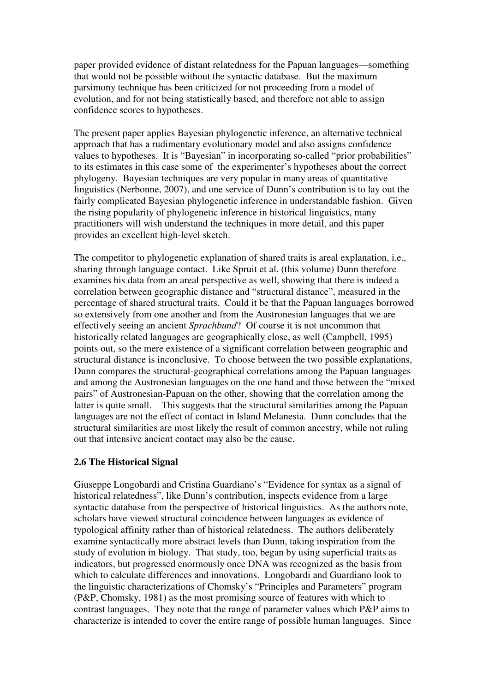paper provided evidence of distant relatedness for the Papuan languages—something that would not be possible without the syntactic database. But the maximum parsimony technique has been criticized for not proceeding from a model of evolution, and for not being statistically based, and therefore not able to assign confidence scores to hypotheses.

The present paper applies Bayesian phylogenetic inference, an alternative technical approach that has a rudimentary evolutionary model and also assigns confidence values to hypotheses. It is "Bayesian" in incorporating so-called "prior probabilities" to its estimates in this case some of the experimenter's hypotheses about the correct phylogeny. Bayesian techniques are very popular in many areas of quantitative linguistics (Nerbonne, 2007), and one service of Dunn's contribution is to lay out the fairly complicated Bayesian phylogenetic inference in understandable fashion. Given the rising popularity of phylogenetic inference in historical linguistics, many practitioners will wish understand the techniques in more detail, and this paper provides an excellent high-level sketch.

The competitor to phylogenetic explanation of shared traits is areal explanation, i.e., sharing through language contact. Like Spruit et al. (this volume) Dunn therefore examines his data from an areal perspective as well, showing that there is indeed a correlation between geographic distance and "structural distance", measured in the percentage of shared structural traits. Could it be that the Papuan languages borrowed so extensively from one another and from the Austronesian languages that we are effectively seeing an ancient *Sprachbund*? Of course it is not uncommon that historically related languages are geographically close, as well (Campbell, 1995) points out, so the mere existence of a significant correlation between geographic and structural distance is inconclusive. To choose between the two possible explanations, Dunn compares the structural-geographical correlations among the Papuan languages and among the Austronesian languages on the one hand and those between the "mixed pairs" of Austronesian-Papuan on the other, showing that the correlation among the latter is quite small. This suggests that the structural similarities among the Papuan languages are not the effect of contact in Island Melanesia. Dunn concludes that the structural similarities are most likely the result of common ancestry, while not ruling out that intensive ancient contact may also be the cause.

# **2.6 The Historical Signal**

Giuseppe Longobardi and Cristina Guardiano's "Evidence for syntax as a signal of historical relatedness", like Dunn's contribution, inspects evidence from a large syntactic database from the perspective of historical linguistics. As the authors note, scholars have viewed structural coincidence between languages as evidence of typological affinity rather than of historical relatedness. The authors deliberately examine syntactically more abstract levels than Dunn, taking inspiration from the study of evolution in biology. That study, too, began by using superficial traits as indicators, but progressed enormously once DNA was recognized as the basis from which to calculate differences and innovations. Longobardi and Guardiano look to the linguistic characterizations of Chomsky's "Principles and Parameters" program (P&P, Chomsky, 1981) as the most promising source of features with which to contrast languages. They note that the range of parameter values which P&P aims to characterize is intended to cover the entire range of possible human languages. Since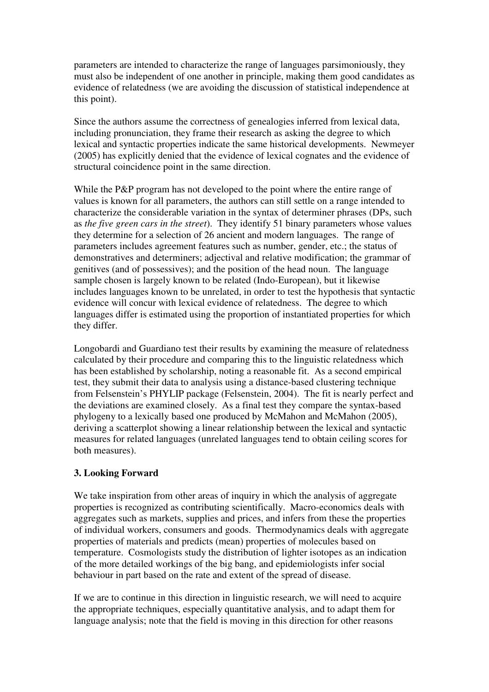parameters are intended to characterize the range of languages parsimoniously, they must also be independent of one another in principle, making them good candidates as evidence of relatedness (we are avoiding the discussion of statistical independence at this point).

Since the authors assume the correctness of genealogies inferred from lexical data, including pronunciation, they frame their research as asking the degree to which lexical and syntactic properties indicate the same historical developments. Newmeyer (2005) has explicitly denied that the evidence of lexical cognates and the evidence of structural coincidence point in the same direction.

While the P&P program has not developed to the point where the entire range of values is known for all parameters, the authors can still settle on a range intended to characterize the considerable variation in the syntax of determiner phrases (DPs, such as *the five green cars in the street*). They identify 51 binary parameters whose values they determine for a selection of 26 ancient and modern languages. The range of parameters includes agreement features such as number, gender, etc.; the status of demonstratives and determiners; adjectival and relative modification; the grammar of genitives (and of possessives); and the position of the head noun. The language sample chosen is largely known to be related (Indo-European), but it likewise includes languages known to be unrelated, in order to test the hypothesis that syntactic evidence will concur with lexical evidence of relatedness. The degree to which languages differ is estimated using the proportion of instantiated properties for which they differ.

Longobardi and Guardiano test their results by examining the measure of relatedness calculated by their procedure and comparing this to the linguistic relatedness which has been established by scholarship, noting a reasonable fit. As a second empirical test, they submit their data to analysis using a distance-based clustering technique from Felsenstein's PHYLIP package (Felsenstein, 2004). The fit is nearly perfect and the deviations are examined closely. As a final test they compare the syntax-based phylogeny to a lexically based one produced by McMahon and McMahon (2005), deriving a scatterplot showing a linear relationship between the lexical and syntactic measures for related languages (unrelated languages tend to obtain ceiling scores for both measures).

# **3. Looking Forward**

We take inspiration from other areas of inquiry in which the analysis of aggregate properties is recognized as contributing scientifically. Macro-economics deals with aggregates such as markets, supplies and prices, and infers from these the properties of individual workers, consumers and goods. Thermodynamics deals with aggregate properties of materials and predicts (mean) properties of molecules based on temperature. Cosmologists study the distribution of lighter isotopes as an indication of the more detailed workings of the big bang, and epidemiologists infer social behaviour in part based on the rate and extent of the spread of disease.

If we are to continue in this direction in linguistic research, we will need to acquire the appropriate techniques, especially quantitative analysis, and to adapt them for language analysis; note that the field is moving in this direction for other reasons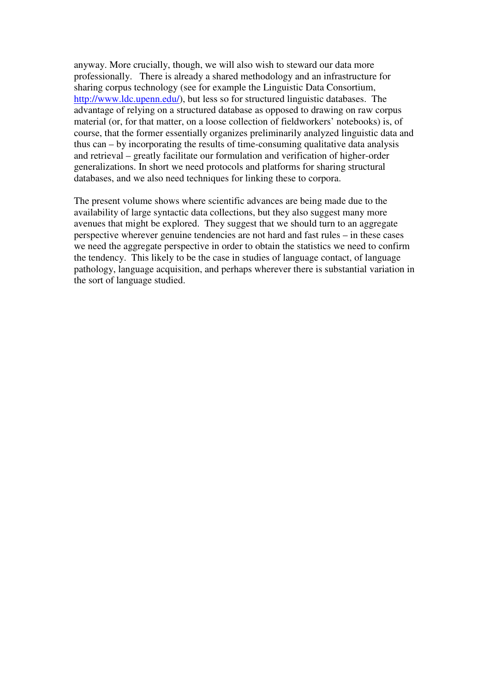anyway. More crucially, though, we will also wish to steward our data more professionally. There is already a shared methodology and an infrastructure for sharing corpus technology (see for example the Linguistic Data Consortium, http://www.ldc.upenn.edu/), but less so for structured linguistic databases. The advantage of relying on a structured database as opposed to drawing on raw corpus material (or, for that matter, on a loose collection of fieldworkers' notebooks) is, of course, that the former essentially organizes preliminarily analyzed linguistic data and thus can – by incorporating the results of time-consuming qualitative data analysis and retrieval – greatly facilitate our formulation and verification of higher-order generalizations. In short we need protocols and platforms for sharing structural databases, and we also need techniques for linking these to corpora.

The present volume shows where scientific advances are being made due to the availability of large syntactic data collections, but they also suggest many more avenues that might be explored. They suggest that we should turn to an aggregate perspective wherever genuine tendencies are not hard and fast rules – in these cases we need the aggregate perspective in order to obtain the statistics we need to confirm the tendency. This likely to be the case in studies of language contact, of language pathology, language acquisition, and perhaps wherever there is substantial variation in the sort of language studied.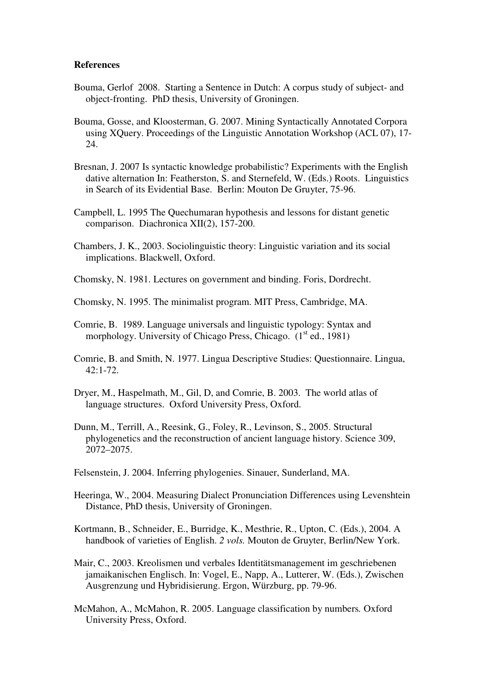#### **References**

- Bouma, Gerlof 2008. Starting a Sentence in Dutch: A corpus study of subject- and object-fronting. PhD thesis, University of Groningen.
- Bouma, Gosse, and Kloosterman, G. 2007. Mining Syntactically Annotated Corpora using XQuery. Proceedings of the Linguistic Annotation Workshop (ACL 07), 17- 24
- Bresnan, J. 2007 Is syntactic knowledge probabilistic? Experiments with the English dative alternation In: Featherston, S. and Sternefeld, W. (Eds.) Roots. Linguistics in Search of its Evidential Base. Berlin: Mouton De Gruyter, 75-96.
- Campbell, L. 1995 The Quechumaran hypothesis and lessons for distant genetic comparison. Diachronica XII(2), 157-200.
- Chambers, J. K., 2003. Sociolinguistic theory: Linguistic variation and its social implications. Blackwell, Oxford.
- Chomsky, N. 1981. Lectures on government and binding. Foris, Dordrecht.
- Chomsky, N. 1995. The minimalist program. MIT Press, Cambridge, MA.
- Comrie, B. 1989. Language universals and linguistic typology: Syntax and morphology. University of Chicago Press, Chicago. (1<sup>st</sup> ed., 1981)
- Comrie, B. and Smith, N. 1977. Lingua Descriptive Studies: Questionnaire. Lingua, 42:1-72.
- Dryer, M., Haspelmath, M., Gil, D, and Comrie, B. 2003. The world atlas of language structures. Oxford University Press, Oxford.
- Dunn, M., Terrill, A., Reesink, G., Foley, R., Levinson, S., 2005. Structural phylogenetics and the reconstruction of ancient language history. Science 309, 2072–2075.
- Felsenstein, J. 2004. Inferring phylogenies. Sinauer, Sunderland, MA.
- Heeringa, W., 2004. Measuring Dialect Pronunciation Differences using Levenshtein Distance, PhD thesis, University of Groningen.
- Kortmann, B., Schneider, E., Burridge, K., Mesthrie, R., Upton, C. (Eds.), 2004. A handbook of varieties of English. *2 vols.* Mouton de Gruyter, Berlin/New York.
- Mair, C., 2003. Kreolismen und verbales Identitätsmanagement im geschriebenen jamaikanischen Englisch. In: Vogel, E., Napp, A., Lutterer, W. (Eds.), Zwischen Ausgrenzung und Hybridisierung. Ergon, Würzburg, pp. 79-96.
- McMahon, A., McMahon, R. 2005. Language classification by numbers*.* Oxford University Press, Oxford.